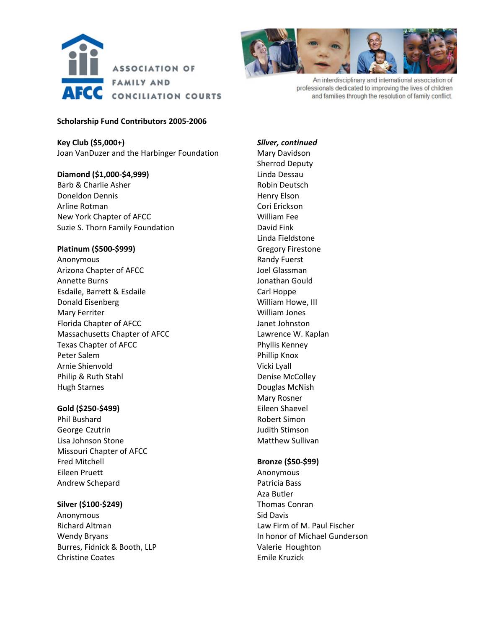



An interdisciplinary and international association of professionals dedicated to improving the lives of children and families through the resolution of family conflict.

#### **Scholarship Fund Contributors 2005‐2006**

**Key Club (\$5,000+)** Joan VanDuzer and the Harbinger Foundation

**Diamond (\$1,000‐\$4,999)** Barb & Charlie Asher Doneldon Dennis Arline Rotman New York Chapter of AFCC

Suzie S. Thorn Family Foundation

# **Platinum (\$500‐\$999)**

Anonymous Arizona Chapter of AFCC Annette Burns Esdaile, Barrett & Esdaile Donald Eisenberg Mary Ferriter Florida Chapter of AFCC Massachusetts Chapter of AFCC Texas Chapter of AFCC Peter Salem Arnie Shienvold Philip & Ruth Stahl Hugh Starnes

## **Gold (\$250‐\$499)**

Phil Bushard George Czutrin Lisa Johnson Stone Missouri Chapter of AFCC Fred Mitchell Eileen Pruett Andrew Schepard

## **Silver (\$100‐\$249)**

Anonymous Richard Altman Wendy Bryans Burres, Fidnick & Booth, LLP Christine Coates

*Silver, continued* Mary Davidson Sherrod Deputy Linda Dessau Robin Deutsch Henry Elson Cori Erickson William Fee David Fink Linda Fieldstone Gregory Firestone Randy Fuerst Joel Glassman Jonathan Gould Carl Hoppe William Howe, III William Jones Janet Johnston Lawrence W. Kaplan Phyllis Kenney Phillip Knox Vicki Lyall Denise McColley Douglas McNish Mary Rosner Eileen Shaevel Robert Simon Judith Stimson Matthew Sullivan

## **Bronze (\$50‐\$99)**

Anonymous Patricia Bass Aza Butler Thomas Conran Sid Davis Law Firm of M. Paul Fischer In honor of Michael Gunderson Valerie Houghton Emile Kruzick